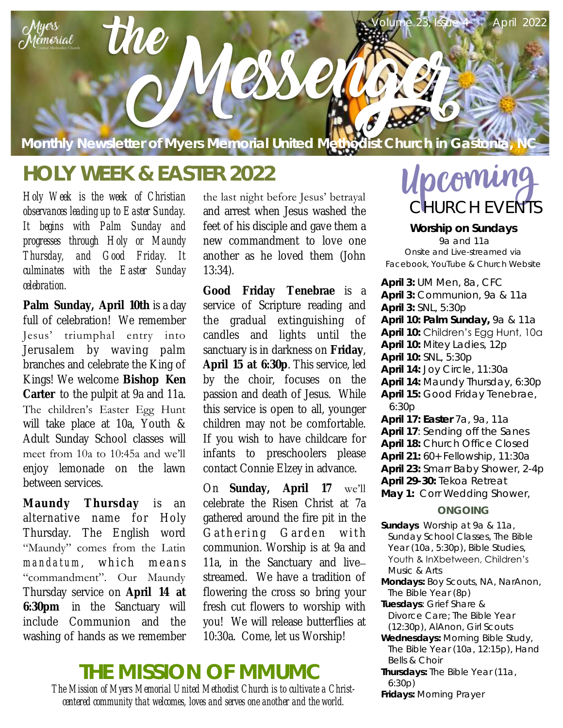

# **HOLY WEEK & EASTER 2022**

*Holy Week is the week of Christian observances leading up to Easter Sunday. It begins with Palm Sunday and progresses through Holy or Maundy Thursday, and Good Friday. It culminates with the Easter Sunday celebration.*

**Palm Sunday, April 10th** is a day full of celebration! We remember Jesus' triumphal entry into Jerusalem by waving palm branches and celebrate the King of Kings! We welcome **Bishop Ken Carter** to the pulpit at 9a and 11a. The children's Easter Egg Hunt will take place at 10a, Youth & Adult Sunday School classes will meet from 10a to 10:45a and we'll enjoy lemonade on the lawn between services.

**Maundy Thursday** is an alternative name for Holy Thursday. The English word "Maundy" comes from the Latin *m and a tum*, which means "commandment". Our Maundy Thursday service on **April 14 at 6:30pm** in the Sanctuary will include Communion and the washing of hands as we remember

the last night before Jesus' betrayal and arrest when Jesus washed the feet of his disciple and gave them a new commandment to love one another as he loved them (John 13:34).

**Good Friday Tenebrae** is a service of Scripture reading and the gradual extinguishing of candles and lights until the sanctuary is in darkness on **Friday**, **April 15 at 6:30p**. This service, led by the choir, focuses on the passion and death of Jesus. While this service is open to all, younger children may not be comfortable. If you wish to have childcare for infants to preschoolers please contact Connie Elzey in advance.

On **Sunday, April 17** we'll celebrate the Risen Christ at 7a gathered around the fire pit in the Gathering Garden with communion. Worship is at 9a and 11a, in the Sanctuary and live– streamed. We have a tradition of flowering the cross so bring your fresh cut flowers to worship with you! We will release butterflies at 10:30a. Come, let us Worship!

#### *The Mission of Myers Memorial United Methodist Church is to cultivate a Christ-***THE MISSION OF MMUMC**

*centered community that welcomes, loves and serves one another and the world.* 

# Upcoming CHURCH EVENTS

**Worship on Sundays**  9a and 11a *Onsite and Live-streamed via Facebook, YouTube & Church Website*

**April 3:** UM Men, 8a, CFC **April 3:** Communion, 9a & 11a **April 3:** SNL, 5:30p **April 10: Palm Sunday,** 9a & 11a **April 10:** Children's Egg Hunt, 10a **April 10:** Mitey Ladies, 12p **April 10:** SNL, 5:30p **April 14:** Joy Circle, 11:30a **April 14:** Maundy Thursday, 6:30p **April 15:** Good Friday Tenebrae, 6:30p **April 17: Easter** 7a, 9a, 11a **April 17**: Sending off the Sanes **April 18:** Church Office Closed **April 21:** 60+ Fellowship, 11:30a **April 23:** Smarr Baby Shower, 2-4p **April 29-30:** Tekoa Retreat **May 1:** Corr Wedding Shower, **ONGOING**

- **Sundays** Worship at 9a & 11a, Sunday School Classes, The Bible Year (10a, 5:30p), Bible Studies, Youth & InXbetween, Children's Music & Arts
- **Mondays:** Boy Scouts, NA, NarAnon, The Bible Year (8p)
- **Tuesdays**: Grief Share & Divorce Care; The Bible Year (12:30p), AlAnon, Girl Scouts
- **Wednesdays:** Morning Bible Study, The Bible Year (10a, 12:15p), Hand Bells & Choir
- **Thursdays:** The Bible Year (11a, 6:30p)
- **Fridays:** Morning Prayer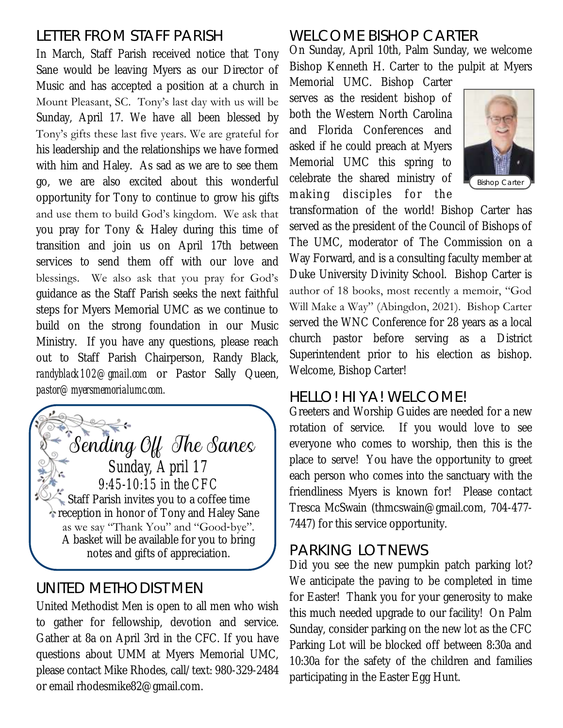## LETTER FROM STAFF PARISH

In March, Staff Parish received notice that Tony Sane would be leaving Myers as our Director of Music and has accepted a position at a church in Mount Pleasant, SC. Tony's last day with us will be Sunday, April 17. We have all been blessed by Tony's gifts these last five years. We are grateful for his leadership and the relationships we have formed with him and Haley. As sad as we are to see them go, we are also excited about this wonderful opportunity for Tony to continue to grow his gifts and use them to build God's kingdom. We ask that you pray for Tony & Haley during this time of transition and join us on April 17th between services to send them off with our love and blessings. We also ask that you pray for God's guidance as the Staff Parish seeks the next faithful steps for Myers Memorial UMC as we continue to build on the strong foundation in our Music Ministry. If you have any questions, please reach out to Staff Parish Chairperson, Randy Black, *randyblack102@gmail.com* or Pastor Sally Queen, *pastor@myersmemorialumc.com.*



#### UNITED METHODIST MEN

United Methodist Men is open to all men who wish to gather for fellowship, devotion and service. Gather at 8a on April 3rd in the CFC. If you have questions about UMM at Myers Memorial UMC, please contact Mike Rhodes, call/text: 980-329-2484 or email rhodesmike82@gmail.com.

## WELCOME BISHOP CARTER

On Sunday, April 10th, Palm Sunday, we welcome Bishop Kenneth H. Carter to the pulpit at Myers

Memorial UMC. Bishop Carter serves as the resident bishop of both the Western North Carolina and Florida Conferences and asked if he could preach at Myers Memorial UMC this spring to celebrate the shared ministry of making disciples for the



transformation of the world! Bishop Carter has served as the president of the Council of Bishops of The UMC, moderator of The Commission on a Way Forward, and is a consulting faculty member at Duke University Divinity School. Bishop Carter is author of 18 books, most recently a memoir, "God Will Make a Way" (Abingdon, 2021). Bishop Carter served the WNC Conference for 28 years as a local church pastor before serving as a District Superintendent prior to his election as bishop. Welcome, Bishop Carter!

#### HELLO! HI YA! WELCOME!

Greeters and Worship Guides are needed for a new rotation of service. If you would love to see everyone who comes to worship, then this is the place to serve! You have the opportunity to greet each person who comes into the sanctuary with the friendliness Myers is known for! Please contact Tresca McSwain (thmcswain@gmail.com, 704-477- 7447) for this service opportunity.

#### PARKING LOT NEWS

Did you see the new pumpkin patch parking lot? We anticipate the paving to be completed in time for Easter! Thank you for your generosity to make this much needed upgrade to our facility! On Palm Sunday, consider parking on the new lot as the CFC Parking Lot will be blocked off between 8:30a and 10:30a for the safety of the children and families participating in the Easter Egg Hunt.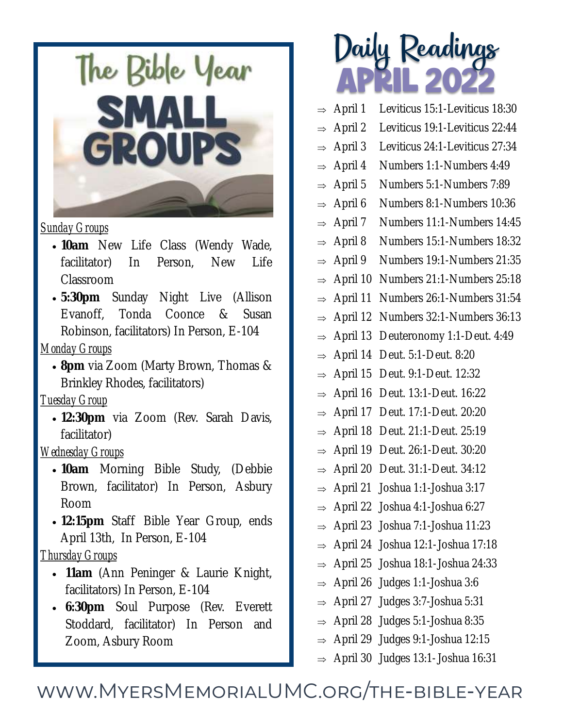

#### *Sunday Groups*

- **10am** New Life Class (Wendy Wade, facilitator) In Person, New Life Classroom
- **5:30pm** Sunday Night Live (Allison Evanoff, Tonda Coonce & Susan Robinson, facilitators) In Person, E-104

#### *Monday Groups*

 **8pm** via Zoom (Marty Brown, Thomas & Brinkley Rhodes, facilitators)

#### *Tuesday Group*

 **12:30pm** via Zoom (Rev. Sarah Davis, facilitator)

#### *Wednesday Groups*

- **10am** Morning Bible Study, (Debbie Brown, facilitator) In Person, Asbury Room
- **12:15pm** Staff Bible Year Group, ends April 13th, In Person, E-104

#### *Thursday Groups*

- **11am** (Ann Peninger & Laurie Knight, facilitators) In Person, E-104
- **6:30pm** Soul Purpose (Rev. Everett Stoddard, facilitator) In Person and Zoom, Asbury Room

# APRIL 2022 Daily Readings

- $\Rightarrow$  April 1 Leviticus 15:1-Leviticus 18:30
- $\Rightarrow$  April 2 Leviticus 19:1-Leviticus 22:44
- $\Rightarrow$  April 3 Leviticus 24:1-Leviticus 27:34
- $\Rightarrow$  April 4 Numbers 1:1-Numbers 4:49
- $\Rightarrow$  April 5 Numbers 5:1-Numbers 7:89
- $\Rightarrow$  April 6 Numbers 8:1-Numbers 10:36
- $\Rightarrow$  April 7 Numbers 11:1-Numbers 14:45
- $\Rightarrow$  April 8 Numbers 15:1-Numbers 18:32
- $\Rightarrow$  April 9 Numbers 19:1-Numbers 21:35
- $\Rightarrow$  April 10 Numbers 21:1-Numbers 25:18
- $\Rightarrow$  April 11 Numbers 26:1-Numbers 31:54
- $\Rightarrow$  April 12 Numbers 32:1-Numbers 36:13
- $\Rightarrow$  April 13 Deuteronomy 1:1-Deut. 4:49
- $\Rightarrow$  April 14 Deut. 5:1-Deut. 8:20
- $\Rightarrow$  April 15 Deut. 9:1-Deut. 12:32
- $\Rightarrow$  April 16 Deut. 13:1-Deut. 16:22
- $\Rightarrow$  April 17 Deut. 17:1-Deut. 20:20
- $\Rightarrow$  April 18 Deut. 21:1-Deut. 25:19
- $\Rightarrow$  April 19 Deut. 26:1-Deut. 30:20
- $\Rightarrow$  April 20 Deut. 31:1-Deut. 34:12
- $\Rightarrow$  April 21 Joshua 1:1-Joshua 3:17
- $\Rightarrow$  April 22 Joshua 4:1-Joshua 6:27
- $\Rightarrow$  April 23 Joshua 7:1-Joshua 11:23
- $\Rightarrow$  April 24 Joshua 12:1-Joshua 17:18
- $\Rightarrow$  April 25 Joshua 18:1-Joshua 24:33
- $\Rightarrow$  April 26 Judges 1:1-Joshua 3:6
- $\Rightarrow$  April 27 Judges 3:7-Joshua 5:31
- $\Rightarrow$  April 28 Judges 5:1-Joshua 8:35
- $\Rightarrow$  April 29 Judges 9:1-Joshua 12:15
- $\Rightarrow$  April 30 Judges 13:1-Joshua 16:31

# www.MyersMemorialUMC.org/the-bible-year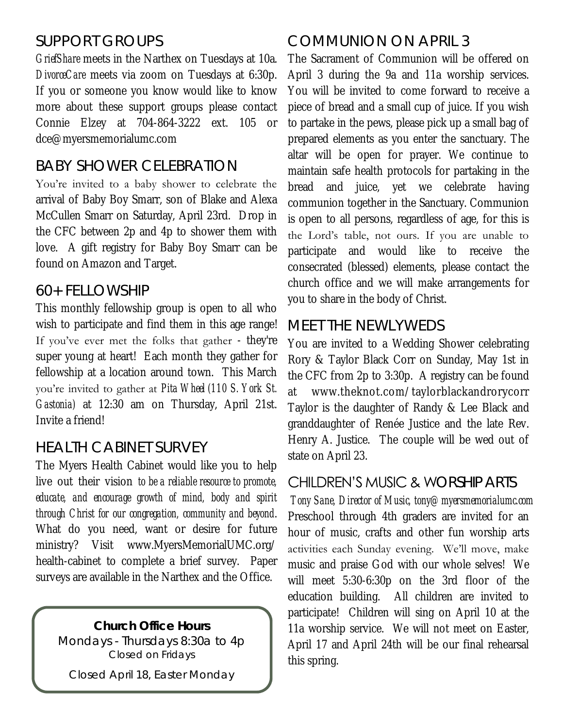# SUPPORT GROUPS

*GriefShare* meets in the Narthex on Tuesdays at 10a. *DivorceCare* meets via zoom on Tuesdays at 6:30p. If you or someone you know would like to know more about these support groups please contact Connie Elzey at 704-864-3222 ext. 105 or dce@myersmemorialumc.com

## BABY SHOWER CELEBRATION

You're invited to a baby shower to celebrate the arrival of Baby Boy Smarr, son of Blake and Alexa McCullen Smarr on Saturday, April 23rd. Drop in the CFC between 2p and 4p to shower them with love. A gift registry for Baby Boy Smarr can be found on Amazon and Target.

#### 60+ FELLOWSHIP

This monthly fellowship group is open to all who wish to participate and find them in this age range! If you've ever met the folks that gather - they're super young at heart! Each month they gather for fellowship at a location around town. This March you're invited to gather at *Pita Wheel (110 S. York St. Gastonia)* at 12:30 am on Thursday, April 21st. Invite a friend!

#### HEALTH CABINET SURVEY

The Myers Health Cabinet would like you to help live out their vision *to be a reliable resource to promote, educate, and encourage growth of mind, body and spirit through Christ for our congregation, community and beyond*. What do you need, want or desire for future ministry? Visit www.MyersMemorialUMC.org/ health-cabinet to complete a brief survey. Paper surveys are available in the Narthex and the Office.

**Church Office Hours**  Mondays - Thursdays 8:30a to 4p *Closed on Fridays*

Closed April 18, Easter Monday

#### COMMUNION ON APRIL 3

The Sacrament of Communion will be offered on April 3 during the 9a and 11a worship services. You will be invited to come forward to receive a piece of bread and a small cup of juice. If you wish to partake in the pews, please pick up a small bag of prepared elements as you enter the sanctuary. The altar will be open for prayer. We continue to maintain safe health protocols for partaking in the bread and juice, yet we celebrate having communion together in the Sanctuary. Communion is open to all persons, regardless of age, for this is the Lord's table, not ours. If you are unable to participate and would like to receive the consecrated (blessed) elements, please contact the church office and we will make arrangements for you to share in the body of Christ.

#### MEET THE NEWLYWEDS

You are invited to a Wedding Shower celebrating Rory & Taylor Black Corr on Sunday, May 1st in the CFC from 2p to 3:30p. A registry can be found at [www.theknot.com/taylorblackandrorycorr](http://www.theknot.com/taylorblackandrorycorr)  Taylor is the daughter of Randy & Lee Black and granddaughter of Renée Justice and the late Rev. Henry A. Justice. The couple will be wed out of state on April 23.

#### CHILDREN'S MUSIC & WORSHIP ARTS

*Tony Sane, Director of Music, tony@myersmemorialumc.com* Preschool through 4th graders are invited for an hour of music, crafts and other fun worship arts activities each Sunday evening. We'll move, make music and praise God with our whole selves! We will meet 5:30-6:30p on the 3rd floor of the education building. All children are invited to participate! Children will sing on April 10 at the 11a worship service. We will not meet on Easter, April 17 and April 24th will be our final rehearsal this spring.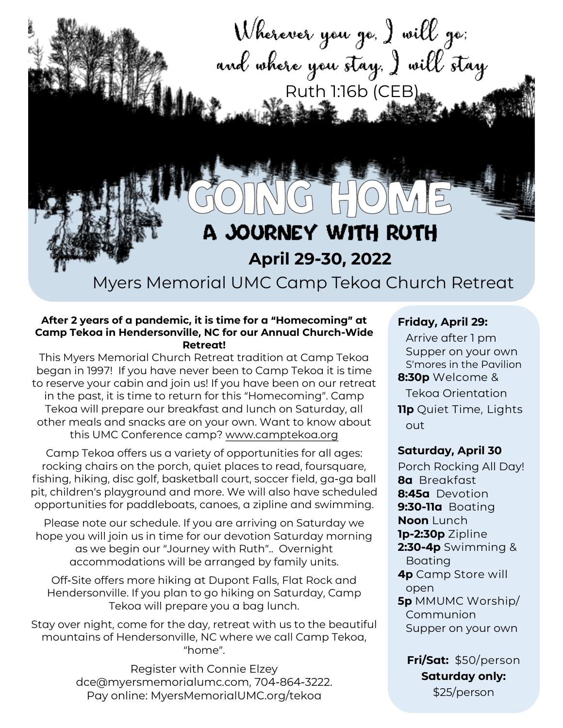

#### **After 2 years of a pandemic, it is time for a "Homecoming" at Camp Tekoa in Hendersonville, NC for our Annual Church-Wide Retreat!**

This Myers Memorial Church Retreat tradition at Camp Tekoa began in 1997! If you have never been to Camp Tekoa it is time to reserve your cabin and join us! If you have been on our retreat in the past, it is time to return for this "Homecoming". Camp Tekoa will prepare our breakfast and lunch on Saturday, all other meals and snacks are on your own. Want to know about this UMC Conference camp? [www.camptekoa.org](http://www.camptekoa.org)

Camp Tekoa offers us a variety of opportunities for all ages: rocking chairs on the porch, quiet places to read, foursquare, fishing, hiking, disc golf, basketball court, soccer field, ga-ga ball pit, children's playground and more. We will also have scheduled opportunities for paddleboats, canoes, a zipline and swimming.

Please note our schedule. If you are arriving on Saturday we hope you will join us in time for our devotion Saturday morning as we begin our "Journey with Ruth".. Overnight accommodations will be arranged by family units.

Off-Site offers more hiking at Dupont Falls, Flat Rock and Hendersonville. If you plan to go hiking on Saturday, Camp Tekoa will prepare you a bag lunch.

Stay over night, come for the day, retreat with us to the beautiful mountains of Hendersonville, NC where we call Camp Tekoa, "home".

> Register with Connie Elzey dce@myersmemorialumc.com, 704-864-3222. Pay online: MyersMemorialUMC.org/tekoa

#### **Friday, April 29:**

Arrive after 1 pm Supper on your own S'mores in the Pavilion **8:30p** Welcome & Tekoa Orientation **11p** Quiet Time, Lights out

#### **Saturday, April 30**

Porch Rocking All Day! **8a** Breakfast **8:45a** Devotion **9:30-11a** Boating **Noon** Lunch **1p-2:30p** Zipline **2:30-4p** Swimming & Boating **4p** Camp Store will open **5p** MMUMC Worship/ Communion Supper on your own

**Fri/Sat:** \$50/person **Saturday only:** 

\$25/person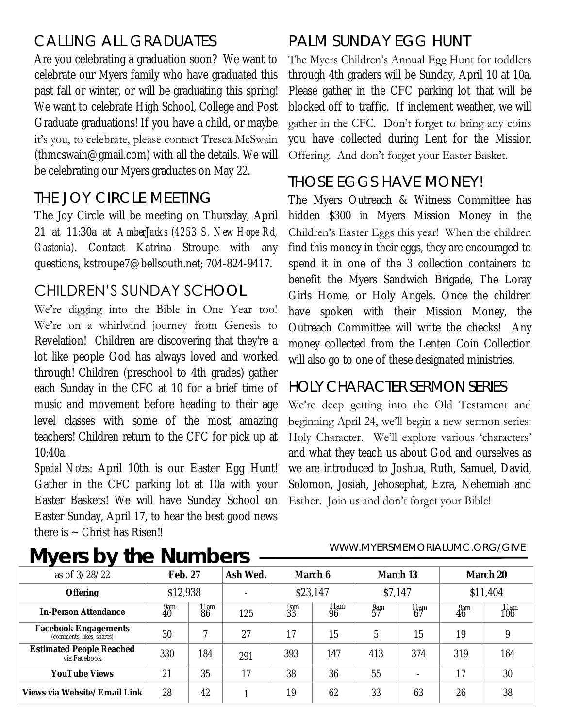# CALLING ALL GRADUATES

Are you celebrating a graduation soon? We want to celebrate our Myers family who have graduated this past fall or winter, or will be graduating this spring! We want to celebrate High School, College and Post Graduate graduations! If you have a child, or maybe it's you, to celebrate, please contact Tresca McSwain (thmcswain@gmail.com) with all the details. We will be celebrating our Myers graduates on May 22.

# THE JOY CIRCLE MEETING

The Joy Circle will be meeting on Thursday, April 21 at 11:30a at *AmberJacks (4253 S. New Hope Rd, Gastonia)*. Contact Katrina Stroupe with any questions, kstroupe7@bellsouth.net; 704-824-9417.

# CHILDREN'S SUNDAY SCHOOL

We're digging into the Bible in One Year too! We're on a whirlwind journey from Genesis to Revelation! Children are discovering that they're a lot like people God has always loved and worked through! Children (preschool to 4th grades) gather each Sunday in the CFC at 10 for a brief time of music and movement before heading to their age level classes with some of the most amazing teachers! Children return to the CFC for pick up at 10:40a.

*Special Notes*: April 10th is our Easter Egg Hunt! Gather in the CFC parking lot at 10a with your Easter Baskets! We will have Sunday School on Easter Sunday, April 17, to hear the best good news there is  $\sim$  Christ has Risen!!

# PALM SUNDAY EGG HUNT

The Myers Children's Annual Egg Hunt for toddlers through 4th graders will be Sunday, April 10 at 10a. Please gather in the CFC parking lot that will be blocked off to traffic. If inclement weather, we will gather in the CFC. Don't forget to bring any coins you have collected during Lent for the Mission Offering. And don't forget your Easter Basket.

#### THOSE EGGS HAVE MONEY!

The Myers Outreach & Witness Committee has hidden \$300 in Myers Mission Money in the Children's Easter Eggs this year! When the children find this money in their eggs, they are encouraged to spend it in one of the 3 collection containers to benefit the Myers Sandwich Brigade, The Loray Girls Home, or Holy Angels. Once the children have spoken with their Mission Money, the Outreach Committee will write the checks! Any money collected from the Lenten Coin Collection will also go to one of these designated ministries.

#### HOLY CHARACTER SERMON SERIES

We're deep getting into the Old Testament and beginning April 24, we'll begin a new sermon series: Holy Character. We'll explore various 'characters' and what they teach us about God and ourselves as we are introduced to Joshua, Ruth, Samuel, David, Solomon, Josiah, Jehosephat, Ezra, Nehemiah and Esther. Join us and don't forget your Bible!

# **Myers by the Numbers**

#### WWW.MYERSMEMORIALUMC.ORG/GIVE

| as of 3/28/22                                     | Feb. 27                |            | Ash Wed. | March 6   |            | March 13  |                | March 20        |                  |
|---------------------------------------------------|------------------------|------------|----------|-----------|------------|-----------|----------------|-----------------|------------------|
| Offering                                          | \$12,938               |            |          | \$23,147  |            | \$7,147   |                | \$11,404        |                  |
| In-Person Attendance                              | 9am<br>$\overline{40}$ | 11am<br>86 | 125      | 9am<br>33 | 11am<br>96 | 9am<br>57 | $\frac{11}{6}$ | 3 <sub>46</sub> | $11$ am<br>$106$ |
| Facebook Engagements<br>(comments, likes, shares) | 30                     |            | 27       | 17        | 15         | 5         | 15             | 19              |                  |
| <b>Estimated People Reached</b><br>via Facebook   | 330                    | 184        | 291      | 393       | 147        | 413       | 374            | 319             | 164              |
| YouTube Views                                     |                        | 35         | 17       | 38        | 36         | 55        |                | 17              | 30               |
| Views via Website/Email Link                      | 28                     | 42         |          | 19        | 62         | 33        | 63             | 26              | 38               |
|                                                   |                        |            |          |           |            |           |                |                 |                  |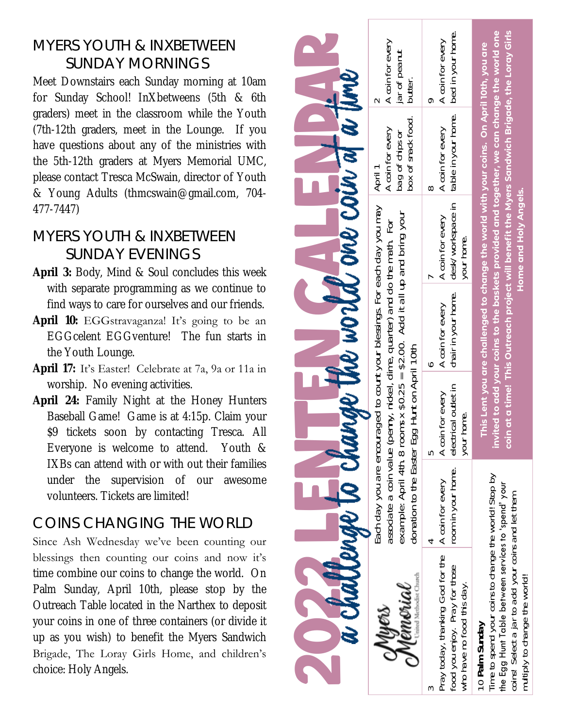# MYERS YOUTH & INXBETWEEN SUNDAY MORNINGS

Meet Downstairs each Sunday morning at 10am for Sunday School! InXbetweens (5th & 6th graders) meet in the classroom while the Youth (7th-12th graders, meet in the Lounge. If you have questions about any of the ministries with the 5th-12th graders at Myers Memorial UMC, please contact Tresca McSwain, director of Youth & Young Adults (thmcswain@gmail.com, 704- 477-7447)

# MYERS YOUTH & INXBETWEEN SUNDAY EVENINGS

- **April 3:** Body, Mind & Soul concludes this week with separate programming as we continue to find ways to care for ourselves and our friends.
- April 10: EGGstravaganza! It's going to be an EGGcelent EGGventure! The fun starts in the Youth Lounge.
- **April 17:** It's Easter! Celebrate at 7a, 9a or 11a in worship. No evening activities.
- **April 24:** Family Night at the Honey Hunters Baseball Game! Game is at 4:15p. Claim your \$9 tickets soon by contacting Tresca. All Everyone is welcome to attend. Youth & IXBs can attend with or with out their families under the supervision of our awesome volunteers. Tickets are limited!

# COINS CHANGING THE WORLD

Since Ash Wednesday we've been counting our blessings then counting our coins and now it's time combine our coins to change the world. On Palm Sunday, April 10th, please stop by the Outreach Table located in the Narthex to deposit your coins in one of three containers (or divide it up as you wish) to benefit the Myers Sandwich Brigade, The Loray Girls Home, and children's choice: Holy Angels.